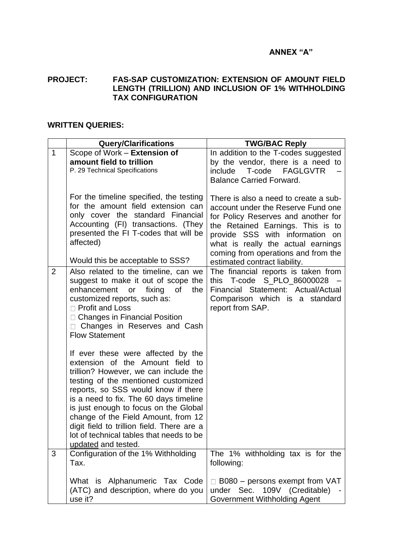## **ANNEX "A"**

## **PROJECT: FAS-SAP CUSTOMIZATION: EXTENSION OF AMOUNT FIELD LENGTH (TRILLION) AND INCLUSION OF 1% WITHHOLDING TAX CONFIGURATION**

## **WRITTEN QUERIES:**

|                | <b>Query/Clarifications</b>                                                                                                                                                                                                                                                                                                                                                                                                              | <b>TWG/BAC Reply</b>                                                                                                                                                                                                                                                                                     |
|----------------|------------------------------------------------------------------------------------------------------------------------------------------------------------------------------------------------------------------------------------------------------------------------------------------------------------------------------------------------------------------------------------------------------------------------------------------|----------------------------------------------------------------------------------------------------------------------------------------------------------------------------------------------------------------------------------------------------------------------------------------------------------|
| $\mathbf{1}$   | Scope of Work - Extension of<br>amount field to trillion<br>P. 29 Technical Specifications                                                                                                                                                                                                                                                                                                                                               | In addition to the T-codes suggested<br>by the vendor, there is a need to<br>include<br>T-code<br><b>FAGLGVTR</b><br><b>Balance Carried Forward.</b>                                                                                                                                                     |
|                | For the timeline specified, the testing<br>for the amount field extension can<br>only cover the standard Financial<br>Accounting (FI) transactions. (They<br>presented the FI T-codes that will be<br>affected)<br>Would this be acceptable to SSS?                                                                                                                                                                                      | There is also a need to create a sub-<br>account under the Reserve Fund one<br>for Policy Reserves and another for<br>the Retained Earnings. This is to<br>provide SSS with information on<br>what is really the actual earnings<br>coming from operations and from the<br>estimated contract liability. |
| $\overline{2}$ | Also related to the timeline, can we<br>suggest to make it out of scope the<br>enhancement<br>fixing<br>0f<br>the<br>or<br>customized reports, such as:<br>□ Profit and Loss<br>□ Changes in Financial Position<br>Changes in Reserves and Cash<br><b>Flow Statement</b>                                                                                                                                                                 | The financial reports is taken from<br>S_PLO_86000028<br>T-code<br>this<br>Financial Statement: Actual/Actual<br>Comparison which is a standard<br>report from SAP.                                                                                                                                      |
|                | If ever these were affected by the<br>extension of the Amount field to<br>trillion? However, we can include the<br>testing of the mentioned customized<br>reports, so SSS would know if there<br>is a need to fix. The 60 days timeline<br>is just enough to focus on the Global<br>change of the Field Amount, from 12<br>digit field to trillion field. There are a<br>lot of technical tables that needs to be<br>updated and tested. |                                                                                                                                                                                                                                                                                                          |
| 3              | Configuration of the 1% Withholding<br>Tax.                                                                                                                                                                                                                                                                                                                                                                                              | The 1% withholding tax is for the<br>following:                                                                                                                                                                                                                                                          |
|                | What is Alphanumeric Tax Code<br>(ATC) and description, where do you<br>use it?                                                                                                                                                                                                                                                                                                                                                          | $\Box$ B080 – persons exempt from VAT<br>109V (Creditable)<br>under Sec.<br>Government Withholding Agent                                                                                                                                                                                                 |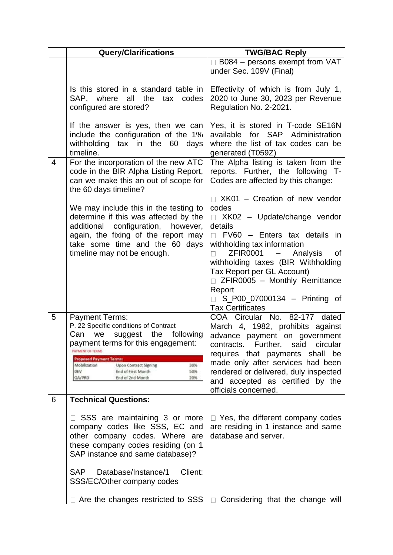|   | <b>Query/Clarifications</b>                                                                                                                                                                                                                                                                                                               | <b>TWG/BAC Reply</b>                                                                                                                                                                                                                                                                                                                                                                                        |
|---|-------------------------------------------------------------------------------------------------------------------------------------------------------------------------------------------------------------------------------------------------------------------------------------------------------------------------------------------|-------------------------------------------------------------------------------------------------------------------------------------------------------------------------------------------------------------------------------------------------------------------------------------------------------------------------------------------------------------------------------------------------------------|
|   |                                                                                                                                                                                                                                                                                                                                           | $\Box$ B084 – persons exempt from VAT<br>under Sec. 109V (Final)                                                                                                                                                                                                                                                                                                                                            |
|   | Is this stored in a standard table in<br>SAP, where<br>all the<br>tax<br>codes<br>configured are stored?                                                                                                                                                                                                                                  | Effectivity of which is from July 1,<br>2020 to June 30, 2023 per Revenue<br>Regulation No. 2-2021.                                                                                                                                                                                                                                                                                                         |
|   | If the answer is yes, then we can<br>include the configuration of the 1%<br>withholding tax in the<br>60<br>days<br>timeline.                                                                                                                                                                                                             | Yes, it is stored in T-code SE16N<br>for SAP Administration<br>available<br>where the list of tax codes can be<br>generated (T059Z)                                                                                                                                                                                                                                                                         |
| 4 | For the incorporation of the new ATC<br>code in the BIR Alpha Listing Report,<br>can we make this an out of scope for<br>the 60 days timeline?                                                                                                                                                                                            | The Alpha listing is taken from the<br>reports. Further, the following T-<br>Codes are affected by this change:                                                                                                                                                                                                                                                                                             |
|   | We may include this in the testing to<br>determine if this was affected by the<br>additional<br>configuration,<br>however,<br>again, the fixing of the report may<br>take some time and the 60 days<br>timeline may not be enough.                                                                                                        | $\Box$ XK01 – Creation of new vendor<br>codes<br>$\Box$ XK02 - Update/change vendor<br>details<br>FV60 - Enters tax details in<br>$\Box$<br>withholding tax information<br><b>ZFIR0001</b><br>Analysis<br>$\equiv$ .<br>0f<br>withholding taxes (BIR Withholding<br>Tax Report per GL Account)<br>$\Box$ ZFIR0005 - Monthly Remittance<br>Report<br>S_P00_07000134 - Printing of<br><b>Tax Certificates</b> |
| 5 | <b>Payment Terms:</b><br>P. 22 Specific conditions of Contract<br>Can we suggest the following<br>payment terms for this engagement:<br><b><i>INVIVENT OF TERMS</i></b><br><b>Proposed Payment Terms:</b><br>30%<br>Mobilization<br><b>Upon Contract Signing</b><br>DEV<br>End of First Month<br>50%<br>QA/PRD<br>End of 2nd Month<br>20% | COA Circular No. 82-177<br>dated<br>March 4, 1982, prohibits against<br>advance payment on government<br>Further, said<br>contracts.<br>circular<br>requires that payments shall be<br>made only after services had been<br>rendered or delivered, duly inspected<br>and accepted as certified by the<br>officials concerned.                                                                               |
| 6 | <b>Technical Questions:</b>                                                                                                                                                                                                                                                                                                               |                                                                                                                                                                                                                                                                                                                                                                                                             |
|   | □ SSS are maintaining 3 or more<br>company codes like SSS, EC and<br>other company codes. Where are<br>these company codes residing (on 1<br>SAP instance and same database)?<br>Database/Instance/1<br>Client:<br><b>SAP</b>                                                                                                             | $\Box$ Yes, the different company codes<br>are residing in 1 instance and same<br>database and server.                                                                                                                                                                                                                                                                                                      |
|   | SSS/EC/Other company codes<br>Are the changes restricted to SSS<br>$\mathbf{L}$                                                                                                                                                                                                                                                           | Considering that the change will                                                                                                                                                                                                                                                                                                                                                                            |